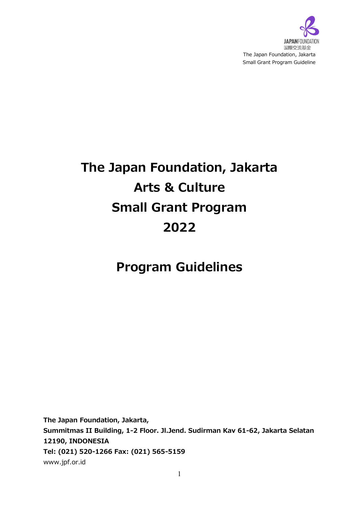

# **The Japan Foundation, Jakarta Arts & Culture Small Grant Program 2022**

# **Program Guidelines**

**The Japan Foundation, Jakarta, Summitmas II Building, 1-2 Floor. Jl.Jend. Sudirman Kav 61-62, Jakarta Selatan 12190, INDONESIA Tel: (021) 520-1266 Fax: (021) 565-5159** www.jpf.or.id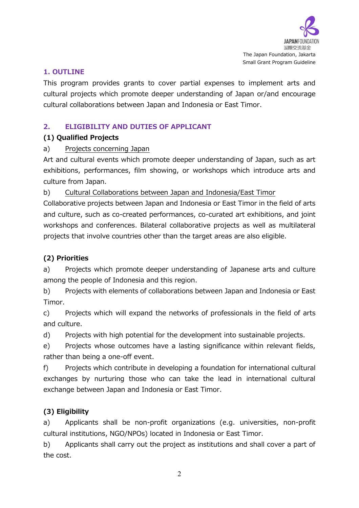

#### **1. OUTLINE**

This program provides grants to cover partial expenses to implement arts and cultural projects which promote deeper understanding of Japan or/and encourage cultural collaborations between Japan and Indonesia or East Timor.

# **2. ELIGIBILITY AND DUTIES OF APPLICANT**

# **(1) Qualified Projects**

# a) Projects concerning Japan

Art and cultural events which promote deeper understanding of Japan, such as art exhibitions, performances, film showing, or workshops which introduce arts and culture from Japan.

b) Cultural Collaborations between Japan and Indonesia/East Timor

Collaborative projects between Japan and Indonesia or East Timor in the field of arts and culture, such as co-created performances, co-curated art exhibitions, and joint workshops and conferences. Bilateral collaborative projects as well as multilateral projects that involve countries other than the target areas are also eligible.

# **(2) Priorities**

a) Projects which promote deeper understanding of Japanese arts and culture among the people of Indonesia and this region.

b) Projects with elements of collaborations between Japan and Indonesia or East Timor.

c) Projects which will expand the networks of professionals in the field of arts and culture.

d) Projects with high potential for the development into sustainable projects.

e) Projects whose outcomes have a lasting significance within relevant fields, rather than being a one-off event.

f) Projects which contribute in developing a foundation for international cultural exchanges by nurturing those who can take the lead in international cultural exchange between Japan and Indonesia or East Timor.

# **(3) Eligibility**

a) Applicants shall be non-profit organizations (e.g. universities, non-profit cultural institutions, NGO/NPOs) located in Indonesia or East Timor.

b) Applicants shall carry out the project as institutions and shall cover a part of the cost.

2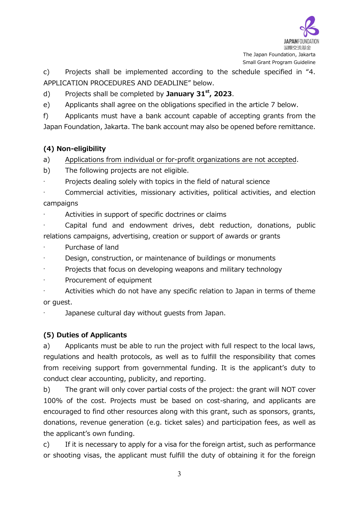

c) Projects shall be implemented according to the schedule specified in "4. APPLICATION PROCEDURES AND DEADLINE" below.

d) Projects shall be completed by **January 31st, 2023**.

e) Applicants shall agree on the obligations specified in the article 7 below.

f) Applicants must have a bank account capable of accepting grants from the Japan Foundation, Jakarta. The bank account may also be opened before remittance.

# **(4) Non-eligibility**

a) Applications from individual or for-profit organizations are not accepted.

b) The following projects are not eligible.

· Projects dealing solely with topics in the field of natural science

Commercial activities, missionary activities, political activities, and election campaigns

Activities in support of specific doctrines or claims

Capital fund and endowment drives, debt reduction, donations, public relations campaigns, advertising, creation or support of awards or grants

Purchase of land

Design, construction, or maintenance of buildings or monuments

Projects that focus on developing weapons and military technology

Procurement of equipment

Activities which do not have any specific relation to Japan in terms of theme or guest.

Japanese cultural day without quests from Japan.

# **(5) Duties of Applicants**

a) Applicants must be able to run the project with full respect to the local laws, regulations and health protocols, as well as to fulfill the responsibility that comes from receiving support from governmental funding. It is the applicant's duty to conduct clear accounting, publicity, and reporting.

b) The grant will only cover partial costs of the project: the grant will NOT cover 100% of the cost. Projects must be based on cost-sharing, and applicants are encouraged to find other resources along with this grant, such as sponsors, grants, donations, revenue generation (e.g. ticket sales) and participation fees, as well as the applicant's own funding.

c) If it is necessary to apply for a visa for the foreign artist, such as performance or shooting visas, the applicant must fulfill the duty of obtaining it for the foreign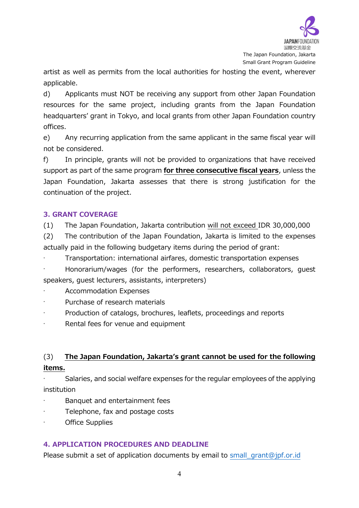

artist as well as permits from the local authorities for hosting the event, wherever applicable.

d) Applicants must NOT be receiving any support from other Japan Foundation resources for the same project, including grants from the Japan Foundation headquarters' grant in Tokyo, and local grants from other Japan Foundation country offices.

e) Any recurring application from the same applicant in the same fiscal year will not be considered.

f) In principle, grants will not be provided to organizations that have received support as part of the same program **for three consecutive fiscal years**, unless the Japan Foundation, Jakarta assesses that there is strong justification for the continuation of the project.

# **3. GRANT COVERAGE**

(1) The Japan Foundation, Jakarta contribution will not exceed IDR 30,000,000

(2) The contribution of the Japan Foundation, Jakarta is limited to the expenses actually paid in the following budgetary items during the period of grant:

· Transportation: international airfares, domestic transportation expenses

· Honorarium/wages (for the performers, researchers, collaborators, guest speakers, guest lecturers, assistants, interpreters)

Accommodation Expenses

- · Purchase of research materials
- Production of catalogs, brochures, leaflets, proceedings and reports
- Rental fees for venue and equipment

# (3) **The Japan Foundation, Jakarta's grant cannot be used for the following items.**

Salaries, and social welfare expenses for the regular employees of the applying institution

- Banquet and entertainment fees
- Telephone, fax and postage costs
- Office Supplies

#### **4. APPLICATION PROCEDURES AND DEADLINE**

Please submit a set of application documents by email to [small\\_grant@jpf.or.id](mailto:small_grant@jpf.or.id)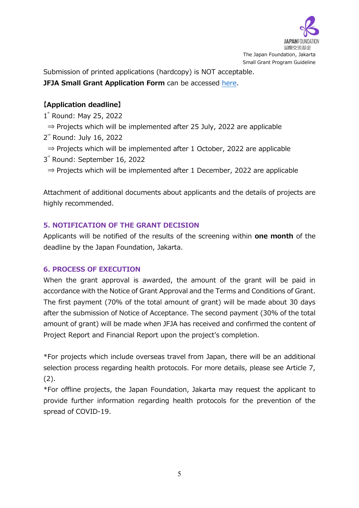

Submission of printed applications (hardcopy) is NOT acceptable. **JFJA Small Grant Application Form** can be accessed [here.](https://docs.google.com/document/d/1lY1KLrpVlaPOQQcIvgskXVAzHf4AGXxm/edit?usp=sharing&ouid=111188205141924285229&rtpof=true&sd=true)

# **【Application deadline】**

1<sup>\*</sup> Round: May 25, 2022

- $\Rightarrow$  Projects which will be implemented after 25 July, 2022 are applicable
- 2<sup>rd</sup> Round: July 16, 2022
- ⇒ Projects which will be implemented after 1 October, 2022 are applicable
- 3<sup>"</sup> Round: September 16, 2022
- $\Rightarrow$  Projects which will be implemented after 1 December, 2022 are applicable

Attachment of additional documents about applicants and the details of projects are highly recommended.

# **5. NOTIFICATION OF THE GRANT DECISION**

Applicants will be notified of the results of the screening within **one month** of the deadline by the Japan Foundation, Jakarta.

#### **6. PROCESS OF EXECUTION**

When the grant approval is awarded, the amount of the grant will be paid in accordance with the Notice of Grant Approval and the Terms and Conditions of Grant. The first payment (70% of the total amount of grant) will be made about 30 days after the submission of Notice of Acceptance. The second payment (30% of the total amount of grant) will be made when JFJA has received and confirmed the content of Project Report and Financial Report upon the project's completion.

\*For projects which include overseas travel from Japan, there will be an additional selection process regarding health protocols. For more details, please see Article 7, (2).

\*For offline projects, the Japan Foundation, Jakarta may request the applicant to provide further information regarding health protocols for the prevention of the spread of COVID-19.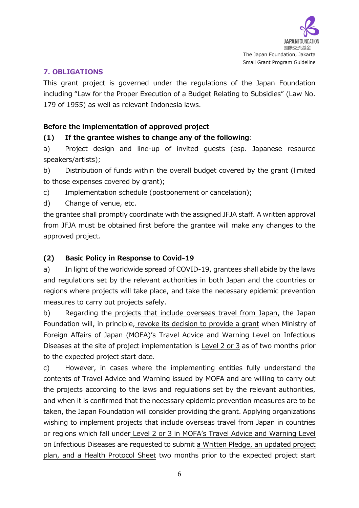

#### **7. OBLIGATIONS**

This grant project is governed under the regulations of the Japan Foundation including "Law for the Proper Execution of a Budget Relating to Subsidies" (Law No. 179 of 1955) as well as relevant Indonesia laws.

# **Before the implementation of approved project**

#### **(1) If the grantee wishes to change any of the following**:

a) Project design and line-up of invited guests (esp. Japanese resource speakers/artists);

b) Distribution of funds within the overall budget covered by the grant (limited to those expenses covered by grant);

c) Implementation schedule (postponement or cancelation);

d) Change of venue, etc.

the grantee shall promptly coordinate with the assigned JFJA staff. A written approval from JFJA must be obtained first before the grantee will make any changes to the approved project.

#### **(2) Basic Policy in Response to Covid-19**

a) In light of the worldwide spread of COVID-19, grantees shall abide by the laws and regulations set by the relevant authorities in both Japan and the countries or regions where projects will take place, and take the necessary epidemic prevention measures to carry out projects safely.

b) Regarding the projects that include overseas travel from Japan, the Japan Foundation will, in principle, revoke its decision to provide a grant when Ministry of Foreign Affairs of Japan (MOFA)'s Travel Advice and Warning Level on Infectious Diseases at the site of project implementation is Level 2 or 3 as of two months prior to the expected project start date.

c) However, in cases where the implementing entities fully understand the contents of Travel Advice and Warning issued by MOFA and are willing to carry out the projects according to the laws and regulations set by the relevant authorities, and when it is confirmed that the necessary epidemic prevention measures are to be taken, the Japan Foundation will consider providing the grant. Applying organizations wishing to implement projects that include overseas travel from Japan in countries or regions which fall under Level 2 or 3 in MOFA's Travel Advice and Warning Level on Infectious Diseases are requested to submit a Written Pledge, an updated project plan, and a Health Protocol Sheet two months prior to the expected project start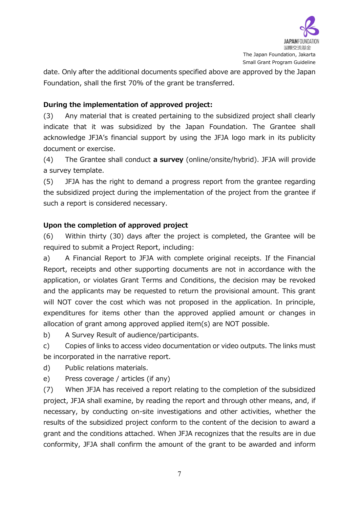

date. Only after the additional documents specified above are approved by the Japan Foundation, shall the first 70% of the grant be transferred.

# **During the implementation of approved project:**

(3) Any material that is created pertaining to the subsidized project shall clearly indicate that it was subsidized by the Japan Foundation. The Grantee shall acknowledge JFJA's financial support by using the JFJA logo mark in its publicity document or exercise.

(4) The Grantee shall conduct **a survey** (online/onsite/hybrid). JFJA will provide a survey template.

(5) JFJA has the right to demand a progress report from the grantee regarding the subsidized project during the implementation of the project from the grantee if such a report is considered necessary.

#### **Upon the completion of approved project**

(6) Within thirty (30) days after the project is completed, the Grantee will be required to submit a Project Report, including:

a) A Financial Report to JFJA with complete original receipts. If the Financial Report, receipts and other supporting documents are not in accordance with the application, or violates Grant Terms and Conditions, the decision may be revoked and the applicants may be requested to return the provisional amount. This grant will NOT cover the cost which was not proposed in the application. In principle, expenditures for items other than the approved applied amount or changes in allocation of grant among approved applied item(s) are NOT possible.

b) A Survey Result of audience/participants.

c) Copies of links to access video documentation or video outputs. The links must be incorporated in the narrative report.

d) Public relations materials.

e) Press coverage / articles (if any)

(7) When JFJA has received a report relating to the completion of the subsidized project, JFJA shall examine, by reading the report and through other means, and, if necessary, by conducting on-site investigations and other activities, whether the results of the subsidized project conform to the content of the decision to award a grant and the conditions attached. When JFJA recognizes that the results are in due conformity, JFJA shall confirm the amount of the grant to be awarded and inform